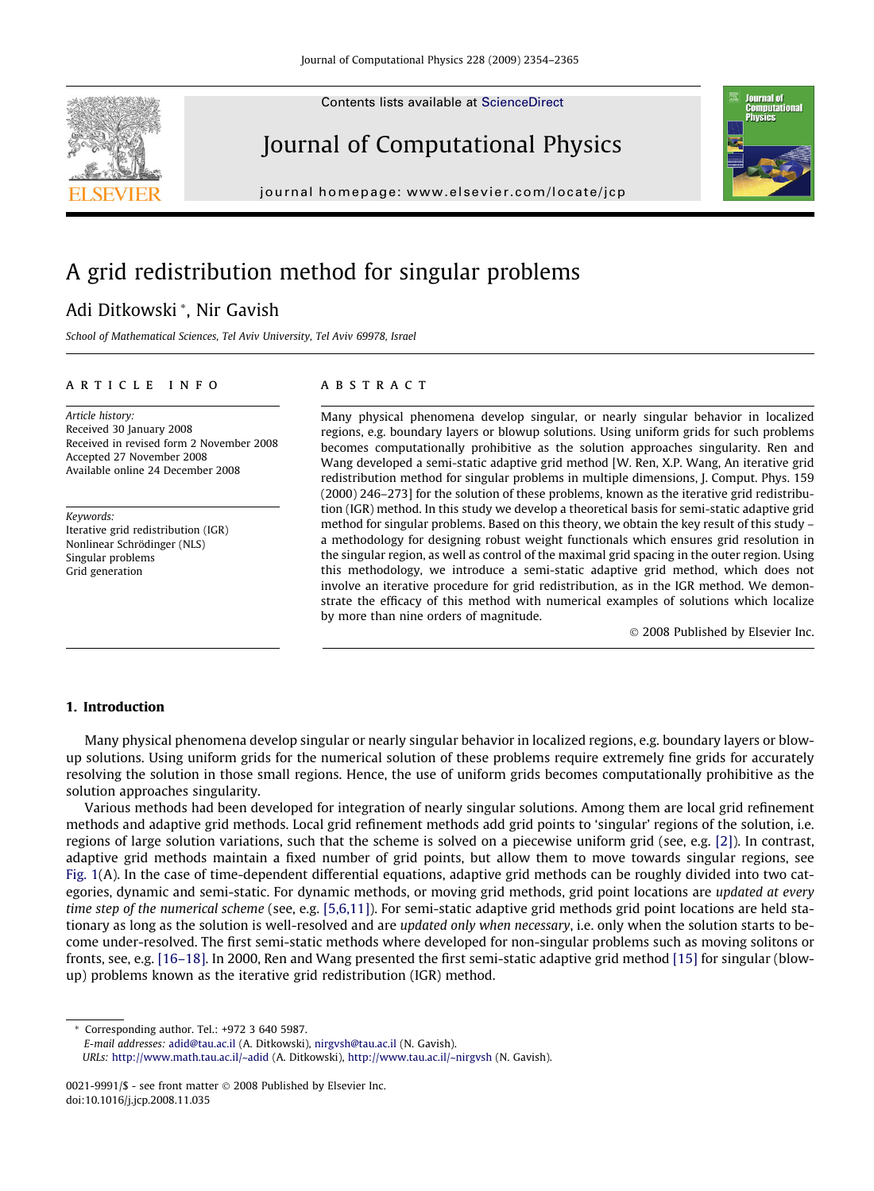Contents lists available at [ScienceDirect](http://www.sciencedirect.com/science/journal/00219991)





journal homepage: [www.elsevier.com/locate/jcp](http://www.elsevier.com/locate/jcp)



# A grid redistribution method for singular problems

# Adi Ditkowski \*, Nir Gavish

School of Mathematical Sciences, Tel Aviv University, Tel Aviv 69978, Israel

# article info

Article history: Received 30 January 2008 Received in revised form 2 November 2008 Accepted 27 November 2008 Available online 24 December 2008

Keywords: Iterative grid redistribution (IGR) Nonlinear Schrödinger (NLS) Singular problems Grid generation

# **ABSTRACT**

Many physical phenomena develop singular, or nearly singular behavior in localized regions, e.g. boundary layers or blowup solutions. Using uniform grids for such problems becomes computationally prohibitive as the solution approaches singularity. Ren and Wang developed a semi-static adaptive grid method [W. Ren, X.P. Wang, An iterative grid redistribution method for singular problems in multiple dimensions, J. Comput. Phys. 159 (2000) 246–273] for the solution of these problems, known as the iterative grid redistribution (IGR) method. In this study we develop a theoretical basis for semi-static adaptive grid method for singular problems. Based on this theory, we obtain the key result of this study – a methodology for designing robust weight functionals which ensures grid resolution in the singular region, as well as control of the maximal grid spacing in the outer region. Using this methodology, we introduce a semi-static adaptive grid method, which does not involve an iterative procedure for grid redistribution, as in the IGR method. We demonstrate the efficacy of this method with numerical examples of solutions which localize by more than nine orders of magnitude.

© 2008 Published by Elsevier Inc.

# 1. Introduction

Many physical phenomena develop singular or nearly singular behavior in localized regions, e.g. boundary layers or blowup solutions. Using uniform grids for the numerical solution of these problems require extremely fine grids for accurately resolving the solution in those small regions. Hence, the use of uniform grids becomes computationally prohibitive as the solution approaches singularity.

Various methods had been developed for integration of nearly singular solutions. Among them are local grid refinement methods and adaptive grid methods. Local grid refinement methods add grid points to 'singular' regions of the solution, i.e. regions of large solution variations, such that the scheme is solved on a piecewise uniform grid (see, e.g. [\[2\]\)](#page-11-0). In contrast, adaptive grid methods maintain a fixed number of grid points, but allow them to move towards singular regions, see [Fig. 1\(](#page-1-0)A). In the case of time-dependent differential equations, adaptive grid methods can be roughly divided into two categories, dynamic and semi-static. For dynamic methods, or moving grid methods, grid point locations are updated at every time step of the numerical scheme (see, e.g. [\[5,6,11\]](#page-11-0)). For semi-static adaptive grid methods grid point locations are held stationary as long as the solution is well-resolved and are updated only when necessary, i.e. only when the solution starts to become under-resolved. The first semi-static methods where developed for non-singular problems such as moving solitons or fronts, see, e.g. [\[16–18\]](#page-11-0). In 2000, Ren and Wang presented the first semi-static adaptive grid method [\[15\]](#page-11-0) for singular (blowup) problems known as the iterative grid redistribution (IGR) method.

Corresponding author. Tel.: +972 3 640 5987.

E-mail addresses: [adid@tau.ac.il](mailto:adid@tau.ac.il) (A. Ditkowski), [nirgvsh@tau.ac.il](mailto:nirgvsh@tau.ac.il) (N. Gavish).

URLs: <http://www.math.tau.ac.il/~adid> (A. Ditkowski), <http://www.tau.ac.il/~nirgvsh> (N. Gavish).

<sup>0021-9991/\$ -</sup> see front matter © 2008 Published by Elsevier Inc. doi:10.1016/j.jcp.2008.11.035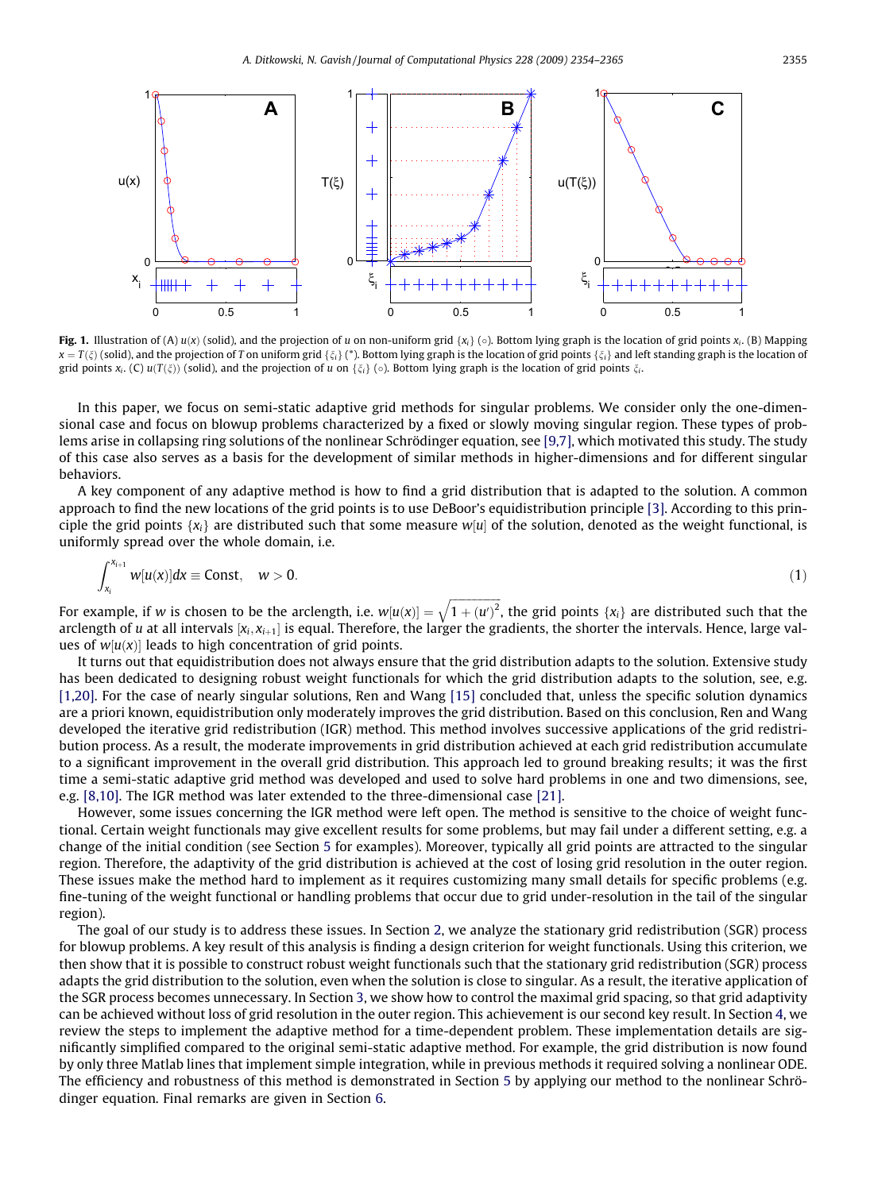<span id="page-1-0"></span>

Fig. 1. Illustration of (A)  $u(x)$  (solid), and the projection of u on non-uniform grid {x<sub>i</sub>} ( $\circ$ ). Bottom lying graph is the location of grid points x<sub>i</sub>. (B) Mapping  $x = T(\xi)$  (solid), and the projection of T on uniform grid  $\{\xi_i\}$  (\*). Bottom lying graph is the location of grid points  $\{\xi_i\}$  and left standing graph is the location of grid points  $x_i$ . (C)  $u(T(\xi))$  (solid), and the projection of u on  $\{\xi_i\}$  ( $\circ$ ). Bottom lying graph is the location of grid points  $\xi_i$ .

In this paper, we focus on semi-static adaptive grid methods for singular problems. We consider only the one-dimensional case and focus on blowup problems characterized by a fixed or slowly moving singular region. These types of problems arise in collapsing ring solutions of the nonlinear Schrödinger equation, see [\[9,7\]](#page-11-0), which motivated this study. The study of this case also serves as a basis for the development of similar methods in higher-dimensions and for different singular behaviors.

A key component of any adaptive method is how to find a grid distribution that is adapted to the solution. A common approach to find the new locations of the grid points is to use DeBoor's equidistribution principle [\[3\]](#page-11-0). According to this principle the grid points {x<sub>i</sub>} are distributed such that some measure w[u] of the solution, denoted as the weight functional, is uniformly spread over the whole domain, i.e.

$$
\int_{x_i}^{x_{i+1}} w[u(x)]dx \equiv \text{Const}, \quad w > 0. \tag{1}
$$

For example, if  $w$  is chosen to be the arclength, i.e.  $w[u(x)] =$  $\frac{1}{\sqrt{2}}$  $\sqrt{1 + (u')^2}$ , the grid points  $\{x_i\}$  are distributed such that the arclength of  $u$  at all intervals  $[x_i, x_{i+1}]$  is equal. Therefore, the larger the gradients, the shorter the intervals. Hence, large values of  $w[u(x)]$  leads to high concentration of grid points.

It turns out that equidistribution does not always ensure that the grid distribution adapts to the solution. Extensive study has been dedicated to designing robust weight functionals for which the grid distribution adapts to the solution, see, e.g. [\[1,20\].](#page-11-0) For the case of nearly singular solutions, Ren and Wang [\[15\]](#page-11-0) concluded that, unless the specific solution dynamics are a priori known, equidistribution only moderately improves the grid distribution. Based on this conclusion, Ren and Wang developed the iterative grid redistribution (IGR) method. This method involves successive applications of the grid redistribution process. As a result, the moderate improvements in grid distribution achieved at each grid redistribution accumulate to a significant improvement in the overall grid distribution. This approach led to ground breaking results; it was the first time a semi-static adaptive grid method was developed and used to solve hard problems in one and two dimensions, see, e.g. [\[8,10\]](#page-11-0). The IGR method was later extended to the three-dimensional case [\[21\].](#page-11-0)

However, some issues concerning the IGR method were left open. The method is sensitive to the choice of weight functional. Certain weight functionals may give excellent results for some problems, but may fail under a different setting, e.g. a change of the initial condition (see Section 5 for examples). Moreover, typically all grid points are attracted to the singular region. Therefore, the adaptivity of the grid distribution is achieved at the cost of losing grid resolution in the outer region. These issues make the method hard to implement as it requires customizing many small details for specific problems (e.g. fine-tuning of the weight functional or handling problems that occur due to grid under-resolution in the tail of the singular region).

The goal of our study is to address these issues. In Section 2, we analyze the stationary grid redistribution (SGR) process for blowup problems. A key result of this analysis is finding a design criterion for weight functionals. Using this criterion, we then show that it is possible to construct robust weight functionals such that the stationary grid redistribution (SGR) process adapts the grid distribution to the solution, even when the solution is close to singular. As a result, the iterative application of the SGR process becomes unnecessary. In Section 3, we show how to control the maximal grid spacing, so that grid adaptivity can be achieved without loss of grid resolution in the outer region. This achievement is our second key result. In Section 4, we review the steps to implement the adaptive method for a time-dependent problem. These implementation details are significantly simplified compared to the original semi-static adaptive method. For example, the grid distribution is now found by only three Matlab lines that implement simple integration, while in previous methods it required solving a nonlinear ODE. The efficiency and robustness of this method is demonstrated in Section 5 by applying our method to the nonlinear Schrödinger equation. Final remarks are given in Section 6.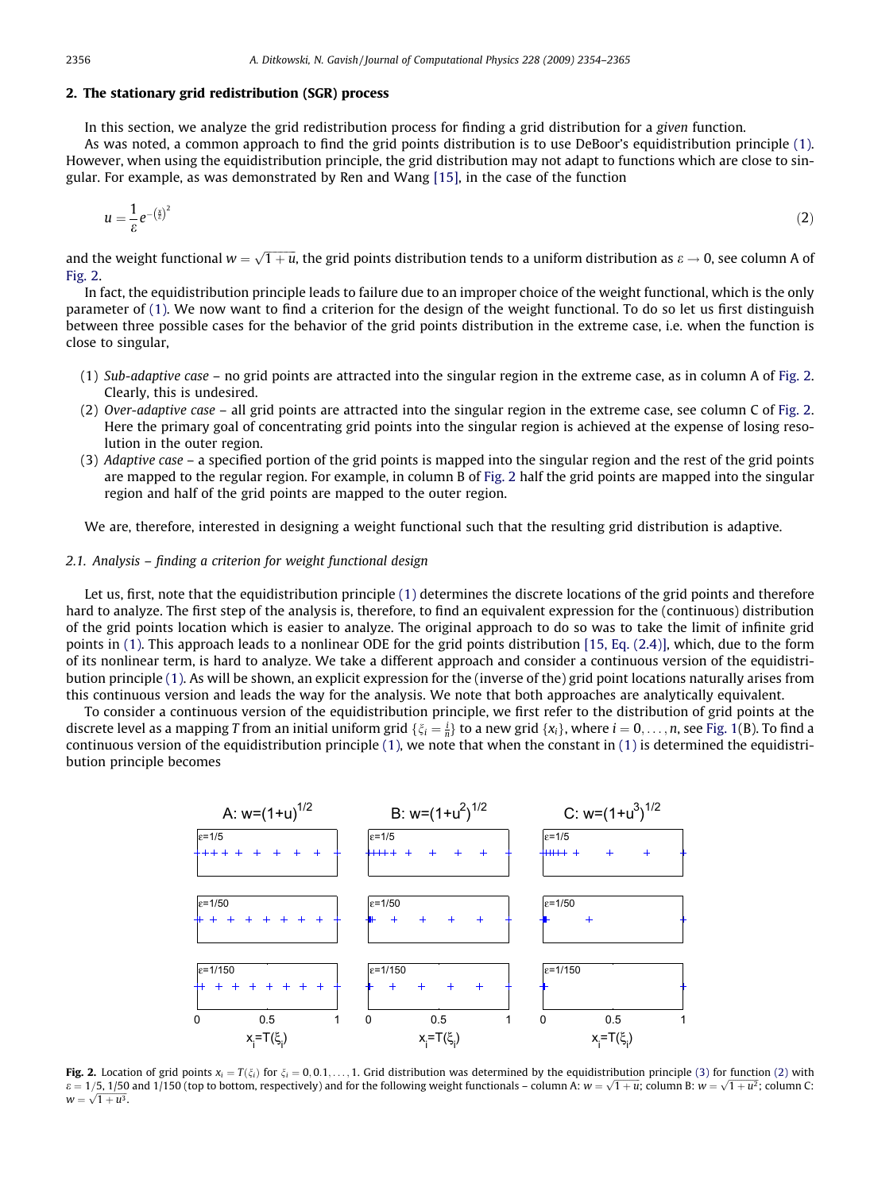# <span id="page-2-0"></span>2. The stationary grid redistribution (SGR) process

In this section, we analyze the grid redistribution process for finding a grid distribution for a given function.

As was noted, a common approach to find the grid points distribution is to use DeBoor's equidistribution principle [\(1\)](#page-1-0). However, when using the equidistribution principle, the grid distribution may not adapt to functions which are close to singular. For example, as was demonstrated by Ren and Wang [\[15\],](#page-11-0) in the case of the function

$$
u = \frac{1}{\varepsilon} e^{-\left(\frac{x}{\varepsilon}\right)^2} \tag{2}
$$

and the weight functional  $w = \sqrt{1 + u}$ , the grid points distribution tends to a uniform distribution as  $\varepsilon \to 0$ , see column A of Fig. 2.

In fact, the equidistribution principle leads to failure due to an improper choice of the weight functional, which is the only parameter of [\(1\).](#page-1-0) We now want to find a criterion for the design of the weight functional. To do so let us first distinguish between three possible cases for the behavior of the grid points distribution in the extreme case, i.e. when the function is close to singular,

- (1) Sub-adaptive case no grid points are attracted into the singular region in the extreme case, as in column A of Fig. 2. Clearly, this is undesired.
- (2) Over-adaptive case all grid points are attracted into the singular region in the extreme case, see column C of Fig. 2. Here the primary goal of concentrating grid points into the singular region is achieved at the expense of losing resolution in the outer region.
- (3) Adaptive case a specified portion of the grid points is mapped into the singular region and the rest of the grid points are mapped to the regular region. For example, in column B of Fig. 2 half the grid points are mapped into the singular region and half of the grid points are mapped to the outer region.

We are, therefore, interested in designing a weight functional such that the resulting grid distribution is adaptive.

# 2.1. Analysis – finding a criterion for weight functional design

Let us, first, note that the equidistribution principle [\(1\)](#page-1-0) determines the discrete locations of the grid points and therefore hard to analyze. The first step of the analysis is, therefore, to find an equivalent expression for the (continuous) distribution of the grid points location which is easier to analyze. The original approach to do so was to take the limit of infinite grid points in [\(1\)](#page-1-0). This approach leads to a nonlinear ODE for the grid points distribution [\[15, Eq. \(2.4\)\]](#page-11-0), which, due to the form of its nonlinear term, is hard to analyze. We take a different approach and consider a continuous version of the equidistribution principle [\(1\)](#page-1-0). As will be shown, an explicit expression for the (inverse of the) grid point locations naturally arises from this continuous version and leads the way for the analysis. We note that both approaches are analytically equivalent.

To consider a continuous version of the equidistribution principle, we first refer to the distribution of grid points at the discrete level as a mapping T from an initial uniform grid  $\{\zeta_i=\frac{i}{n}\}$  to a new grid  $\{x_i\}$ , where  $i=0,\ldots,n$ , see [Fig. 1\(](#page-1-0)B). To find a continuous version of the equidistribution principle  $(1)$ , we note that when the constant in  $(1)$  is determined the equidistribution principle becomes



Fig. 2. Location of grid points  $x_i = T(\xi_i)$  for  $\xi_i = 0, 0, 1, \ldots, 1$ . Grid distribution was determined by the equidistribution principle [\(3\)](#page-3-0) for function (2) with  $\kappa = 1/5$ , 1/50 and 1/150 (top to bottom, respectively) and for the following weight functionals – column A:  $w = \sqrt{1 + u}$ ; column B:  $w = \sqrt{1 + u^2}$ ; column C:  $w = \sqrt{1 + u^3}$ .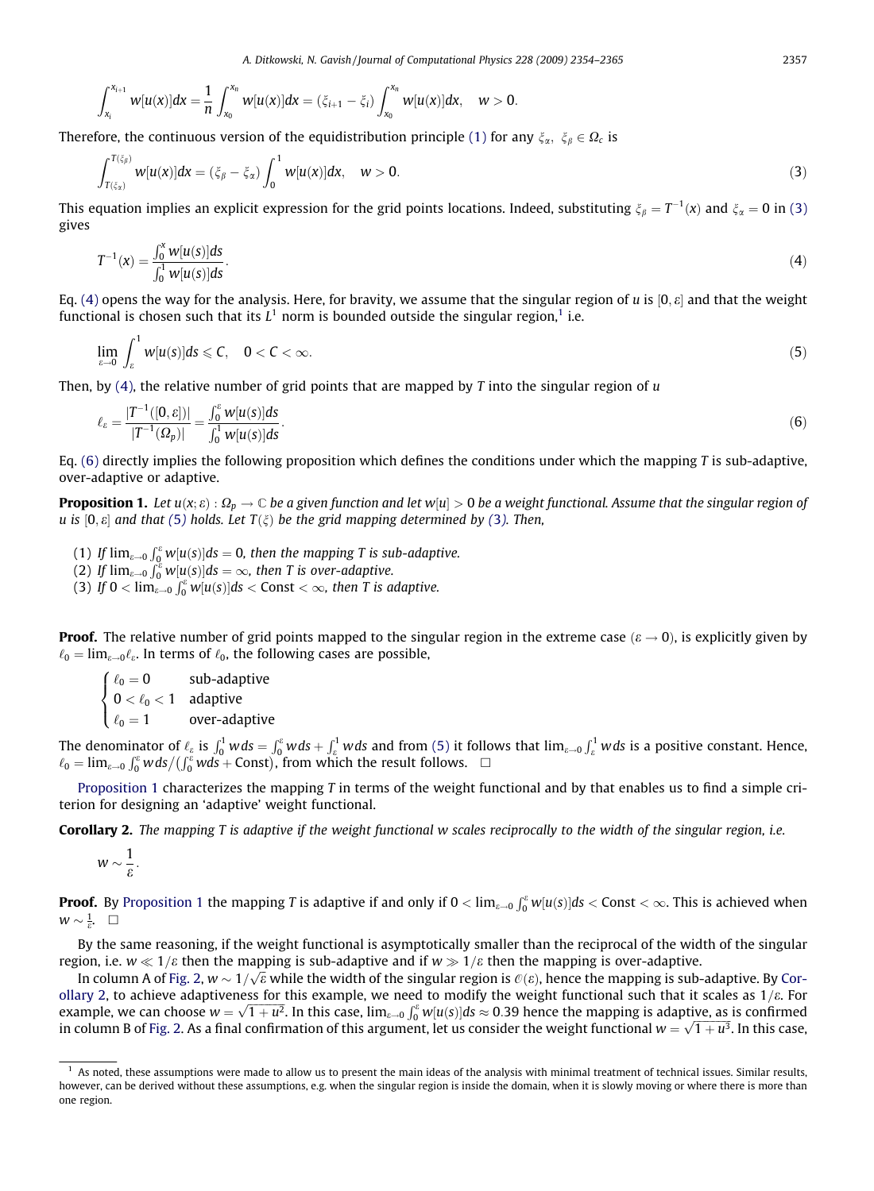<span id="page-3-0"></span>
$$
\int_{x_i}^{x_{i+1}} w[u(x)] dx = \frac{1}{n} \int_{x_0}^{x_n} w[u(x)] dx = (\xi_{i+1} - \xi_i) \int_{x_0}^{x_n} w[u(x)] dx, \quad w > 0.
$$

Therefore, the continuous version of the equidistribution principle [\(1\)](#page-1-0) for any  $\xi_{\alpha}$ ,  $\xi_{\beta} \in \Omega_c$  is

$$
\int_{T(\xi_x)}^{T(\xi_\beta)} w[u(x)]dx = (\xi_\beta - \xi_\alpha) \int_0^1 w[u(x)]dx, \quad w > 0.
$$
\n(3)

This equation implies an explicit expression for the grid points locations. Indeed, substituting  $\xi_\beta=T^{-1}(x)$  and  $\xi_x=0$  in (3) gives

$$
T^{-1}(x) = \frac{\int_0^x w[u(s)]ds}{\int_0^1 w[u(s)]ds}.
$$
 (4)

Eq. (4) opens the way for the analysis. Here, for bravity, we assume that the singular region of  $u$  is  $[0,\varepsilon]$  and that the weight functional is chosen such that its  $L^1$  norm is bounded outside the singular region.<sup>1</sup> i.e.

$$
\lim_{\varepsilon \to 0} \int_{\varepsilon}^{1} w[u(s)] ds \leqslant C, \quad 0 < C < \infty. \tag{5}
$$

Then, by  $(4)$ , the relative number of grid points that are mapped by T into the singular region of u

$$
\ell_{\varepsilon} = \frac{|T^{-1}([0,\varepsilon])|}{|T^{-1}(\Omega_{p})|} = \frac{\int_{0}^{\varepsilon} w[u(s)]ds}{\int_{0}^{1} w[u(s)]ds}.
$$
\n(6)

Eq.  $(6)$  directly implies the following proposition which defines the conditions under which the mapping T is sub-adaptive, over-adaptive or adaptive.

**Proposition 1.** Let u(x;  $\varepsilon$ ) :  $\Omega_p \to \mathbb{C}$  be a given function and let w[u]  $> 0$  be a weight functional. Assume that the singular region of u is  $[0, \varepsilon]$  and that (5) holds. Let  $T(\xi)$  be the grid mapping determined by (3). Then,

- (1) If  $\lim_{\varepsilon\to 0} \int_0^{\varepsilon} w[u(s)]ds = 0$ , then the mapping T is sub-adaptive.
- (2) If  $\lim_{\varepsilon \to 0} \int_0^{\varepsilon} w[u(s)]ds = \infty$ , then T is over-adaptive.
- (3) If  $0 < \lim_{\varepsilon \to 0} \int_0^{\varepsilon} w[u(s)]ds < \text{Const} < \infty$ , then T is adaptive.

**Proof.** The relative number of grid points mapped to the singular region in the extreme case  $(\varepsilon \to 0)$ , is explicitly given by  $\ell_0 = \lim_{\varepsilon \to 0} \ell_{\varepsilon}$ . In terms of  $\ell_0$ , the following cases are possible,

$$
\left\{\n\begin{array}{ll}\n\ell_0 = 0 & \text{sub-adaptive} \\
0 < \ell_0 < 1 & \text{adaptive} \\
\ell_0 = 1 & \text{over-adaptive}\n\end{array}\n\right.
$$

The denominator of  $\ell_{\varepsilon}$  is  $\int_0^1 w ds=\int_0^{\varepsilon}w ds+\int_{\varepsilon}^1 w ds$  and from (5) it follows that  $\lim_{\varepsilon\to 0}\int_{\varepsilon}^1 w ds$  is a positive constant. Hence,  $\ell_0 = \lim_{\varepsilon \to 0} \int_0^{\varepsilon} w \, ds / \int_0^{\varepsilon} w \, ds + \text{Const}$ , from which the result follows.  $\Box$ 

Proposition 1 characterizes the mapping  $T$  in terms of the weight functional and by that enables us to find a simple criterion for designing an 'adaptive' weight functional.

Corollary 2. The mapping T is adaptive if the weight functional w scales reciprocally to the width of the singular region, i.e.

$$
w\sim\frac{1}{\varepsilon}.
$$

**Proof.** By Proposition 1 the mapping T is adaptive if and only if  $0<\lim_{\varepsilon\to 0}\int_0^\varepsilon w[u(s)]ds<\mathrm{Const}<\infty.$  This is achieved when  $w \sim \frac{1}{\varepsilon}$ .  $\Box$ 

By the same reasoning, if the weight functional is asymptotically smaller than the reciprocal of the width of the singular region, i.e.  $w \ll 1/\varepsilon$  then the mapping is sub-adaptive and if  $w \gg 1/\varepsilon$  then the mapping is over-adaptive.

In column A of [Fig. 2](#page-2-0),  $w \sim 1/\sqrt{\varepsilon}$  while the width of the singular region is  $\mathcal{O}(\varepsilon)$ , hence the mapping is sub-adaptive. By Cor-<br>In column A of Fig. 2,  $w \sim 1/\sqrt{\varepsilon}$  while the width of the singular region is  $\math$ ollary 2, to achieve adaptiveness for this example, we need to modify the weight functional such that it scales as  $1/\varepsilon$ . For bitary 2, to actneve adaptiveness for this example, we need to modify the weight functional such that it scales as  $1/\varepsilon$ . For example, we can choose  $w = \sqrt{1+u^2}$ . In this case,  $\lim_{\varepsilon \to 0} \int_0^{\varepsilon} w[u(s)]ds \approx 0.39$  henc Example, we can choose  $w = \sqrt{1 + u^2}$ . In this case,  $\min_{\varepsilon \to 0} \int_0^v w(u(s)) ds \approx 0.99$  hence the mapping is adaptive, as is committed<br>in column B of [Fig. 2.](#page-2-0) As a final confirmation of this argument, let us consider the weig

 $<sup>1</sup>$  As noted, these assumptions were made to allow us to present the main ideas of the analysis with minimal treatment of technical issues. Similar results,</sup> however, can be derived without these assumptions, e.g. when the singular region is inside the domain, when it is slowly moving or where there is more than one region.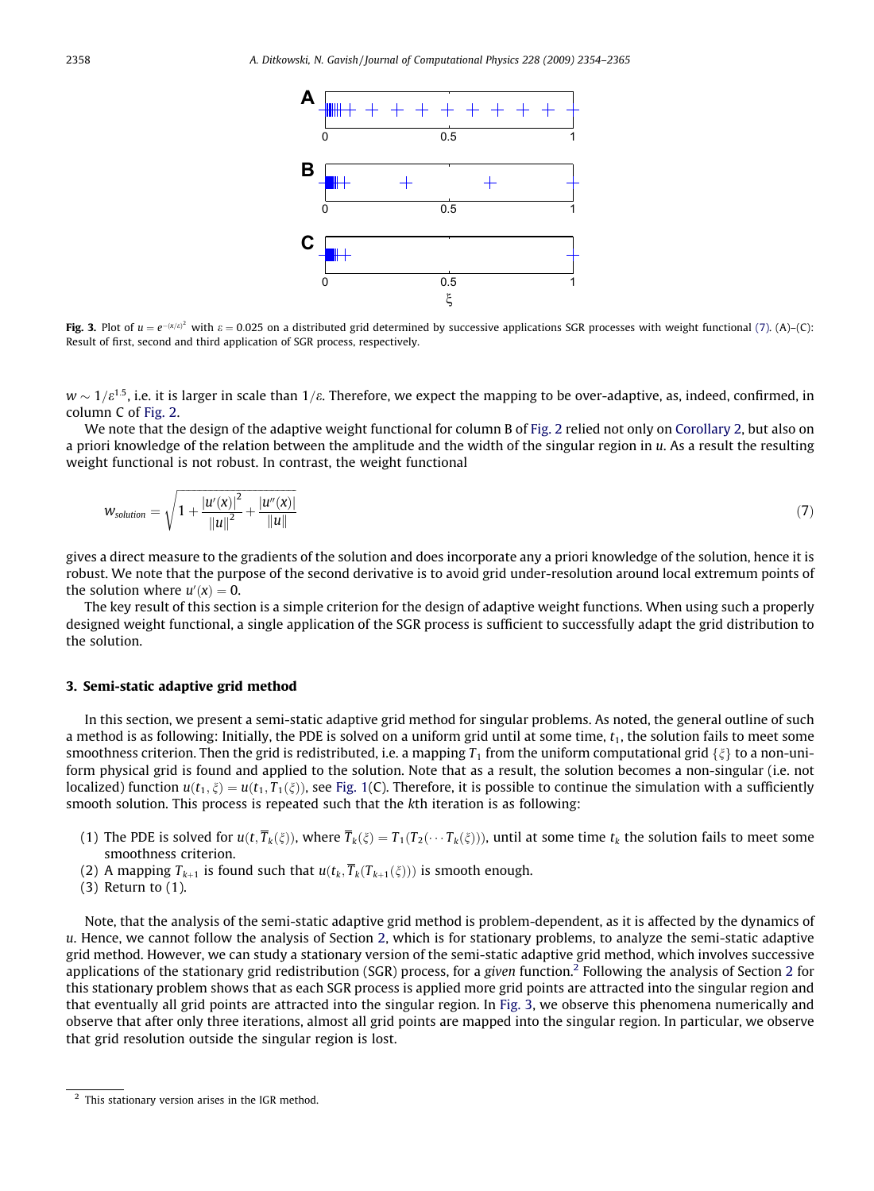<span id="page-4-0"></span>

**Fig. 3.** Plot of  $u = e^{-(x/\varepsilon)^2}$  with  $\varepsilon = 0.025$  on a distributed grid determined by successive applications SGR processes with weight functional (7). (A)–(C): Result of first, second and third application of SGR process, respectively.

 $w \sim 1/\varepsilon^{1.5}$ , i.e. it is larger in scale than  $1/\varepsilon$ . Therefore, we expect the mapping to be over-adaptive, as, indeed, confirmed, in column C of [Fig. 2](#page-2-0).

We note that the design of the adaptive weight functional for column B of [Fig. 2](#page-2-0) relied not only on [Corollary 2](#page-3-0), but also on a priori knowledge of the relation between the amplitude and the width of the singular region in  $u$ . As a result the resulting weight functional is not robust. In contrast, the weight functional

$$
W_{solution} = \sqrt{1 + \frac{|u'(x)|^2}{\|u\|^2} + \frac{|u''(x)|}{\|u\|}}
$$
(7)

gives a direct measure to the gradients of the solution and does incorporate any a priori knowledge of the solution, hence it is robust. We note that the purpose of the second derivative is to avoid grid under-resolution around local extremum points of the solution where  $u'(x) = 0$ .

The key result of this section is a simple criterion for the design of adaptive weight functions. When using such a properly designed weight functional, a single application of the SGR process is sufficient to successfully adapt the grid distribution to the solution.

# 3. Semi-static adaptive grid method

In this section, we present a semi-static adaptive grid method for singular problems. As noted, the general outline of such a method is as following: Initially, the PDE is solved on a uniform grid until at some time,  $t_1$ , the solution fails to meet some smoothness criterion. Then the grid is redistributed, i.e. a mapping  $T_1$  from the uniform computational grid  $\{\xi\}$  to a non-uniform physical grid is found and applied to the solution. Note that as a result, the solution becomes a non-singular (i.e. not localized) function  $u(t_1, \xi) = u(t_1, T_1(\xi))$ , see [Fig. 1\(](#page-1-0)C). Therefore, it is possible to continue the simulation with a sufficiently smooth solution. This process is repeated such that the kth iteration is as following:

- (1) The PDE is solved for  $u(t, T_k(\xi))$ , where  $T_k(\xi) = T_1(T_2(\cdots T_k(\xi)))$ , until at some time  $t_k$  the solution fails to meet some smoothness criterion.
- (2) A mapping  $T_{k+1}$  is found such that  $u(t_k, \overline{T}_k(T_{k+1}(\xi)))$  is smooth enough.
- (3) Return to (1).

Note, that the analysis of the semi-static adaptive grid method is problem-dependent, as it is affected by the dynamics of u. Hence, we cannot follow the analysis of Section 2, which is for stationary problems, to analyze the semi-static adaptive grid method. However, we can study a stationary version of the semi-static adaptive grid method, which involves successive applications of the stationary grid redistribution (SGR) process, for a given function.<sup>2</sup> Following the analysis of Section 2 for this stationary problem shows that as each SGR process is applied more grid points are attracted into the singular region and that eventually all grid points are attracted into the singular region. In Fig. 3, we observe this phenomena numerically and observe that after only three iterations, almost all grid points are mapped into the singular region. In particular, we observe that grid resolution outside the singular region is lost.

<sup>2</sup> This stationary version arises in the IGR method.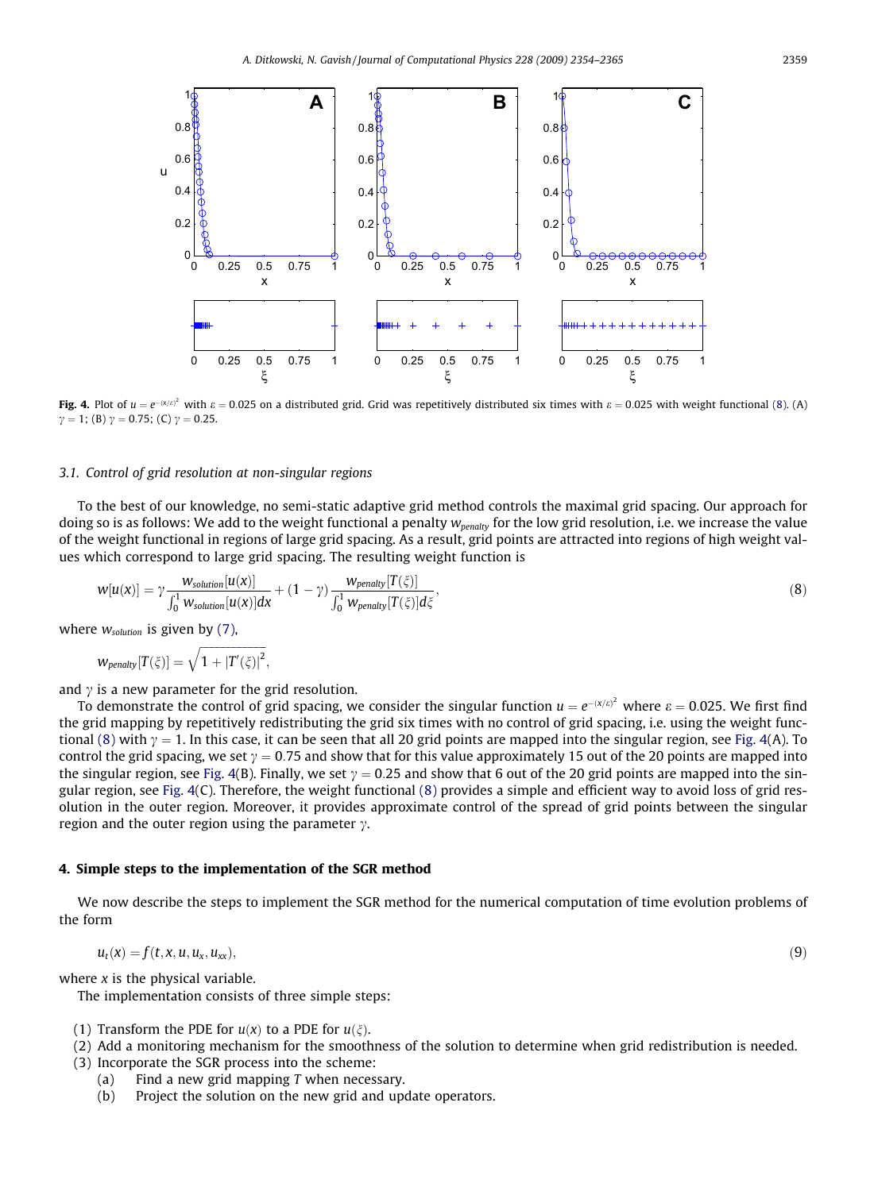<span id="page-5-0"></span>

Fig. 4. Plot of  $u = e^{-(x/\varepsilon)^2}$  with  $\varepsilon = 0.025$  on a distributed grid. Grid was repetitively distributed six times with  $\varepsilon = 0.025$  with weight functional (8). (A)  $\gamma = 1$ ; (B)  $\gamma = 0.75$ ; (C)  $\gamma = 0.25$ .

# 3.1. Control of grid resolution at non-singular regions

To the best of our knowledge, no semi-static adaptive grid method controls the maximal grid spacing. Our approach for doing so is as follows: We add to the weight functional a penalty w<sub>penalty</sub> for the low grid resolution, i.e. we increase the value of the weight functional in regions of large grid spacing. As a result, grid points are attracted into regions of high weight values which correspond to large grid spacing. The resulting weight function is

$$
V[u(\mathbf{x})] = \gamma \frac{W_{solution}[u(\mathbf{x})]}{\int_0^1 w_{solution}[u(\mathbf{x})]d\mathbf{x}} + (1 - \gamma) \frac{W_{penalty}[T(\xi)]}{\int_0^1 w_{penalty}[T(\xi)]d\xi},
$$
\n(8)

where  $w_{solution}$  is given by [\(7\)](#page-4-0),

 $\mathcal{U}$ 

$$
w_{\text{penalty}}[T(\xi)] = \sqrt{1 + |T'(\xi)|^2},
$$

and  $\gamma$  is a new parameter for the grid resolution.

To demonstrate the control of grid spacing, we consider the singular function  $u=e^{-(x/\varepsilon)^2}$  where  $\varepsilon=$  0.025. We first find the grid mapping by repetitively redistributing the grid six times with no control of grid spacing, i.e. using the weight functional (8) with  $\gamma = 1$ . In this case, it can be seen that all 20 grid points are mapped into the singular region, see Fig. 4(A). To control the grid spacing, we set  $\gamma = 0.75$  and show that for this value approximately 15 out of the 20 points are mapped into the singular region, see Fig. 4(B). Finally, we set  $\gamma = 0.25$  and show that 6 out of the 20 grid points are mapped into the singular region, see Fig. 4(C). Therefore, the weight functional (8) provides a simple and efficient way to avoid loss of grid resolution in the outer region. Moreover, it provides approximate control of the spread of grid points between the singular region and the outer region using the parameter  $\gamma$ .

# 4. Simple steps to the implementation of the SGR method

We now describe the steps to implement the SGR method for the numerical computation of time evolution problems of the form

$$
u_t(x) = f(t, x, u, u_x, u_{xx}), \tag{9}
$$

where  $x$  is the physical variable.

The implementation consists of three simple steps:

- (1) Transform the PDE for  $u(x)$  to a PDE for  $u(\xi)$ .
- (2) Add a monitoring mechanism for the smoothness of the solution to determine when grid redistribution is needed.
- (3) Incorporate the SGR process into the scheme:
	- (a) Find a new grid mapping  $T$  when necessary.
	- (b) Project the solution on the new grid and update operators.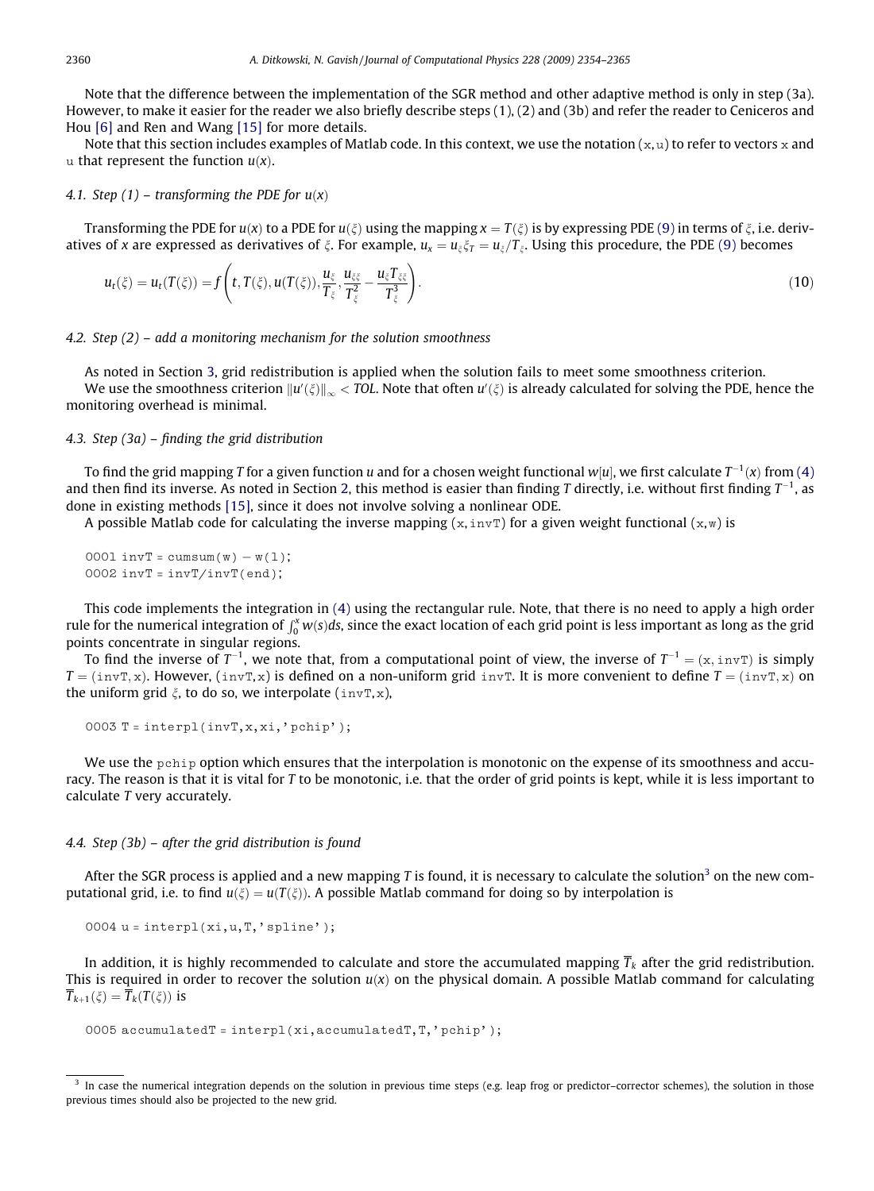Note that the difference between the implementation of the SGR method and other adaptive method is only in step (3a). However, to make it easier for the reader we also briefly describe steps (1), (2) and (3b) and refer the reader to Ceniceros and Hou [\[6\]](#page-11-0) and Ren and Wang [\[15\]](#page-11-0) for more details.

Note that this section includes examples of Matlab code. In this context, we use the notation  $(x, u)$  to refer to vectors x and u that represent the function  $u(x)$ .

# 4.1. Step (1) – transforming the PDE for  $u(x)$

Transforming the PDE for  $u(x)$  to a PDE for  $u(\xi)$  using the mapping  $x = T(\xi)$  is by expressing PDE [\(9\)](#page-5-0) in terms of  $\xi$ , i.e. derivatives of x are expressed as derivatives of  $\zeta$ . For example,  $u_x = u_{\zeta} \zeta_T = u_{\zeta}/T_{\zeta}$ . Using this procedure, the PDE [\(9\)](#page-5-0) becomes

$$
u_t(\xi) = u_t(T(\xi)) = f\left(t, T(\xi), u(T(\xi)), \frac{u_{\xi}}{T_{\xi}}, \frac{u_{\xi\xi}}{T_{\xi}^2} - \frac{u_{\xi}T_{\xi\xi}}{T_{\xi}^3}\right).
$$
\n(10)

# 4.2. Step (2) – add a monitoring mechanism for the solution smoothness

As noted in Section 3, grid redistribution is applied when the solution fails to meet some smoothness criterion. We use the smoothness criterion  $\|u'(\xi)\|_\infty<$  TOL. Note that often  $u'(\xi)$  is already calculated for solving the PDE, hence the monitoring overhead is minimal.

# 4.3. Step (3a) – finding the grid distribution

To find the grid mapping T for a given function  $u$  and for a chosen weight functional  $w[u]$ , we first calculate  $T^{-1}(x)$  from [\(4\)](#page-3-0) and then find its inverse. As noted in Section 2, this method is easier than finding T directly, i.e. without first finding  $T^{-1}$ , as done in existing methods [\[15\]](#page-11-0), since it does not involve solving a nonlinear ODE.

A possible Matlab code for calculating the inverse mapping  $(x, invT)$  for a given weight functional  $(x,w)$  is

0001 invT = cumsum(w)  $-w(1)$ ; 0002  $invT = invT/invT(end)$ ;

This code implements the integration in [\(4\)](#page-3-0) using the rectangular rule. Note, that there is no need to apply a high order rule for the numerical integration of  $\int_0^x w(s)ds$ , since the exact location of each grid point is less important as long as the grid points concentrate in singular regions.

To find the inverse of  $T^{-1}$ , we note that, from a computational point of view, the inverse of  $T^{-1}=(\text{x, invT})$  is simply  $T = (\text{invT}, x)$ . However,  $(\text{invT}, x)$  is defined on a non-uniform grid  $\text{invT}$ . It is more convenient to define  $T = (\text{invT}, x)$  on the uniform grid  $\xi$ , to do so, we interpolate (invT,x),

```
0003 T = interpl(invT, x, xi,'pchip');
```
We use the pchip option which ensures that the interpolation is monotonic on the expense of its smoothness and accuracy. The reason is that it is vital for T to be monotonic, i.e. that the order of grid points is kept, while it is less important to calculate T very accurately.

#### 4.4. Step (3b) – after the grid distribution is found

After the SGR process is applied and a new mapping T is found, it is necessary to calculate the solution<sup>3</sup> on the new computational grid, i.e. to find  $u(\xi) = u(T(\xi))$ . A possible Matlab command for doing so by interpolation is

```
0004u =interpl(x_i, u, T, 'spline');
```
In addition, it is highly recommended to calculate and store the accumulated mapping  $\overline{T}_k$  after the grid redistribution. This is required in order to recover the solution  $u(x)$  on the physical domain. A possible Matlab command for calculating  $\overline{T}_{k+1}(\xi) = \overline{T}_k(T(\xi))$  is

0005 accumulatedT = interp1(xi,accumulatedT,T,'pchip');

In case the numerical integration depends on the solution in previous time steps (e.g. leap frog or predictor-corrector schemes), the solution in those previous times should also be projected to the new grid.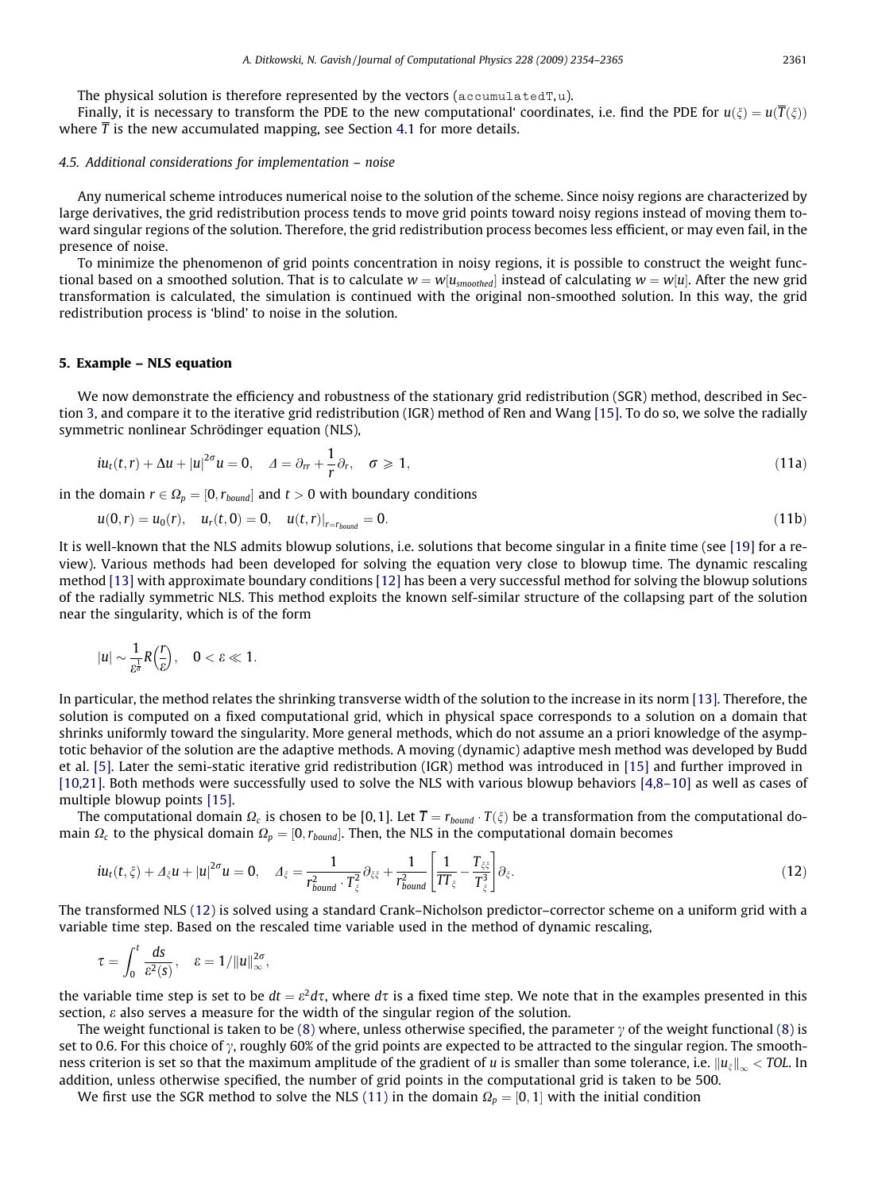<span id="page-7-0"></span>The physical solution is therefore represented by the vectors (accumulatedT,u).

Finally, it is necessary to transform the PDE to the new computational' coordinates, i.e. find the PDE for  $u(\xi) = u(\overline{T}(\xi))$ where  $\overline{T}$  is the new accumulated mapping, see Section 4.1 for more details.

#### 4.5. Additional considerations for implementation – noise

Any numerical scheme introduces numerical noise to the solution of the scheme. Since noisy regions are characterized by large derivatives, the grid redistribution process tends to move grid points toward noisy regions instead of moving them toward singular regions of the solution. Therefore, the grid redistribution process becomes less efficient, or may even fail, in the presence of noise.

To minimize the phenomenon of grid points concentration in noisy regions, it is possible to construct the weight functional based on a smoothed solution. That is to calculate  $w=w[u_{smoothed}]$  instead of calculating  $w=w[u].$  After the new grid transformation is calculated, the simulation is continued with the original non-smoothed solution. In this way, the grid redistribution process is 'blind' to noise in the solution.

#### 5. Example – NLS equation

We now demonstrate the efficiency and robustness of the stationary grid redistribution (SGR) method, described in Section 3, and compare it to the iterative grid redistribution (IGR) method of Ren and Wang [\[15\].](#page-11-0) To do so, we solve the radially symmetric nonlinear Schrödinger equation (NLS),

$$
iu_t(t,r) + \Delta u + |u|^{2\sigma}u = 0, \quad \Delta = \partial_{rr} + \frac{1}{r}\partial_r, \quad \sigma \ge 1,
$$
\n(11a)

in the domain  $r \in \Omega_p = [0,r_{bound}]$  and  $t > 0$  with boundary conditions

$$
u(0,r) = u_0(r), \quad u_r(t,0) = 0, \quad u(t,r)|_{r=r_{bound}} = 0. \tag{11b}
$$

It is well-known that the NLS admits blowup solutions, i.e. solutions that become singular in a finite time (see [\[19\]](#page-11-0) for a review). Various methods had been developed for solving the equation very close to blowup time. The dynamic rescaling method [\[13\]](#page-11-0) with approximate boundary conditions [\[12\]](#page-11-0) has been a very successful method for solving the blowup solutions of the radially symmetric NLS. This method exploits the known self-similar structure of the collapsing part of the solution near the singularity, which is of the form

$$
|u|\sim \frac{1}{\epsilon^{\frac{1}{\sigma}}}R\Big(\frac{r}{\epsilon}\Big),\quad 0<\epsilon\ll 1.
$$

In particular, the method relates the shrinking transverse width of the solution to the increase in its norm [\[13\].](#page-11-0) Therefore, the solution is computed on a fixed computational grid, which in physical space corresponds to a solution on a domain that shrinks uniformly toward the singularity. More general methods, which do not assume an a priori knowledge of the asymptotic behavior of the solution are the adaptive methods. A moving (dynamic) adaptive mesh method was developed by Budd et al. [\[5\]](#page-11-0). Later the semi-static iterative grid redistribution (IGR) method was introduced in [\[15\]](#page-11-0) and further improved in [\[10,21\].](#page-11-0) Both methods were successfully used to solve the NLS with various blowup behaviors [\[4,8–10\]](#page-11-0) as well as cases of multiple blowup points [\[15\].](#page-11-0)

The computational domain  $\Omega_c$  is chosen to be [0,1]. Let  $T=r_{bound} \cdot T(\xi)$  be a transformation from the computational domain  $\Omega_c$  to the physical domain  $\Omega_p = [0,r_{bound}]$ . Then, the NLS in the computational domain becomes

$$
i u_t(t,\xi) + \Delta_{\xi} u + |u|^{2\sigma} u = 0, \quad \Delta_{\xi} = \frac{1}{r_{bound}^2 \cdot T_{\xi}^2} \partial_{\xi\xi} + \frac{1}{r_{bound}^2} \left[ \frac{1}{T T_{\xi}} - \frac{T_{\xi\xi}}{T_{\xi}^2} \right] \partial_{\xi}.
$$
 (12)

The transformed NLS (12) is solved using a standard Crank–Nicholson predictor–corrector scheme on a uniform grid with a variable time step. Based on the rescaled time variable used in the method of dynamic rescaling,

$$
\tau=\int_0^t\frac{ds}{\epsilon^2(s)},\quad \epsilon=1/\|u\|_\infty^{2\sigma},
$$

the variable time step is set to be  $dt = \varepsilon^2 d\tau$ , where  $d\tau$  is a fixed time step. We note that in the examples presented in this section,  $\varepsilon$  also serves a measure for the width of the singular region of the solution.

The weight functional is taken to be [\(8\)](#page-5-0) where, unless otherwise specified, the parameter  $\gamma$  of the weight functional (8) is set to 0.6. For this choice of  $\gamma$ , roughly 60% of the grid points are expected to be attracted to the singular region. The smoothness criterion is set so that the maximum amplitude of the gradient of u is smaller than some tolerance, i.e.  $\|u_{\xi}\|_{\infty} < \text{TOL}$ . In addition, unless otherwise specified, the number of grid points in the computational grid is taken to be 500.

We first use the SGR method to solve the NLS (11) in the domain  $\Omega_p=[0,1]$  with the initial condition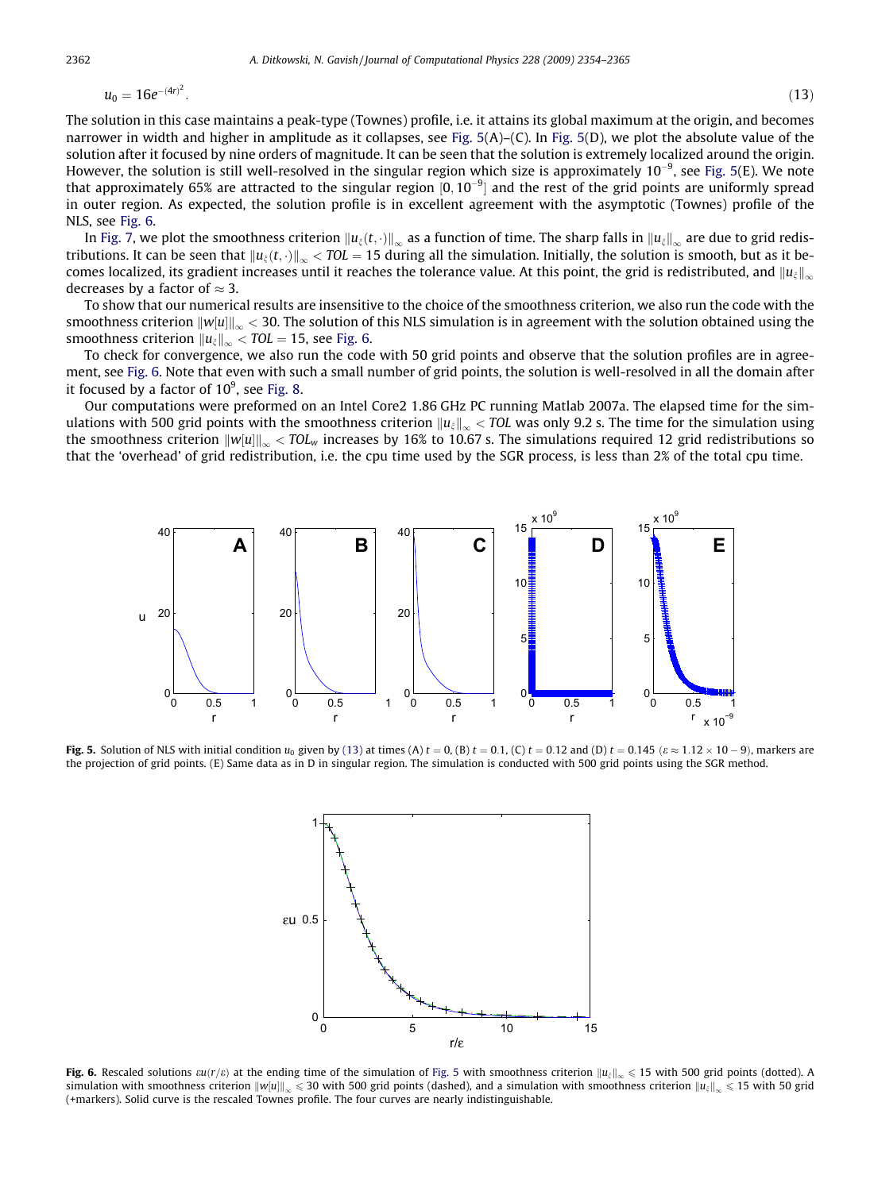$$
u_0=16e^{-(4r)^2}.
$$

$$
\tag{13}
$$

<span id="page-8-0"></span>The solution in this case maintains a peak-type (Townes) profile, i.e. it attains its global maximum at the origin, and becomes narrower in width and higher in amplitude as it collapses, see Fig. 5(A)–(C). In Fig. 5(D), we plot the absolute value of the solution after it focused by nine orders of magnitude. It can be seen that the solution is extremely localized around the origin. However, the solution is still well-resolved in the singular region which size is approximately  $10^{-9}$ , see Fig. 5(E). We note that approximately 65% are attracted to the singular region  $[0,10^{-9}]$  and the rest of the grid points are uniformly spread in outer region. As expected, the solution profile is in excellent agreement with the asymptotic (Townes) profile of the NLS, see Fig. 6.

In [Fig. 7,](#page-9-0) we plot the smoothness criterion  $\|u_\xi(t,\cdot)\|_\infty$  as a function of time. The sharp falls in  $\|u_\xi\|_\infty$  are due to grid redistributions. It can be seen that  $\|u_\varepsilon(t,\cdot)\|_\infty < T$ OL  $=15$  during all the simulation. Initially, the solution is smooth, but as it becomes localized, its gradient increases until it reaches the tolerance value. At this point, the grid is redistributed, and  $||u_{\varepsilon}||_{\infty}$ decreases by a factor of  $\approx$  3.

To show that our numerical results are insensitive to the choice of the smoothness criterion, we also run the code with the smoothness criterion  $\|w[u]\|_\infty$  < 30. The solution of this NLS simulation is in agreement with the solution obtained using the smoothness criterion  $||u_\xi||_{\infty} < \text{TOL} = 15$ , see Fig. 6.

To check for convergence, we also run the code with 50 grid points and observe that the solution profiles are in agreement, see Fig. 6. Note that even with such a small number of grid points, the solution is well-resolved in all the domain after it focused by a factor of  $10^9$ , see [Fig. 8](#page-9-0).

Our computations were preformed on an Intel Core2 1.86 GHz PC running Matlab 2007a. The elapsed time for the simulations with 500 grid points with the smoothness criterion  $\|u_{\xi}\|_{\infty}$  < TOL was only 9.2 s. The time for the simulation using the smoothness criterion  $\|w[u]\|_\infty< T\text{OL}_w$  increases by 16% to 10.67 s. The simulations required 12 grid redistributions so that the 'overhead' of grid redistribution, i.e. the cpu time used by the SGR process, is less than 2% of the total cpu time.



Fig. 5. Solution of NLS with initial condition  $u_0$  given by (13) at times (A)  $t = 0$ , (B)  $t = 0.1$ , (C)  $t = 0.12$  and (D)  $t = 0.145$  ( $\varepsilon \approx 1.12 \times 10 - 9$ ), markers are the projection of grid points. (E) Same data as in D in singular region. The simulation is conducted with 500 grid points using the SGR method.



Fig. 6. Rescaled solutions  $\epsilon u(r/\epsilon)$  at the ending time of the simulation of Fig. 5 with smoothness criterion  $||u_r||_{\infty} \le 15$  with 500 grid points (dotted). A simulation with smoothness criterion  $\|w[u]\|_\infty\leqslant 30$  with 500 grid points (dashed), and a simulation with smoothness criterion  $\|u_\zeta\|_\infty\leqslant 15$  with 50 grid (+markers). Solid curve is the rescaled Townes profile. The four curves are nearly indistinguishable.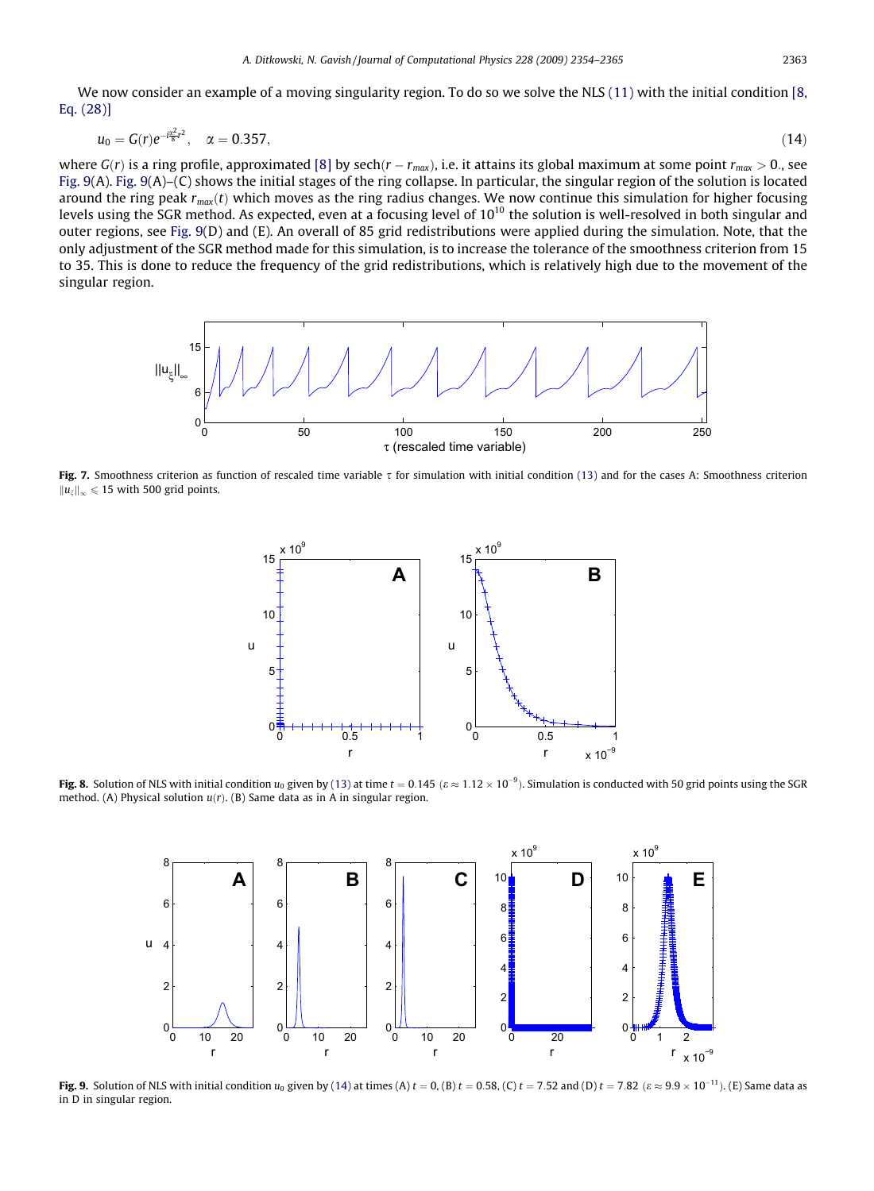<span id="page-9-0"></span>We now consider an example of a moving singularity region. To do so we solve the NLS [\(11\)](#page-7-0) with the initial condition [\[8,](#page-11-0) [Eq. \(28\)\]](#page-11-0)

$$
u_0 = G(r)e^{-i\frac{\alpha^2}{8}r^2}, \quad \alpha = 0.357,\tag{14}
$$

where  $G(r)$  is a ring profile, approximated [\[8\]](#page-11-0) by sech $(r - r_{max})$ , i.e. it attains its global maximum at some point  $r_{max} > 0$ ., see Fig. 9(A). Fig. 9(A)–(C) shows the initial stages of the ring collapse. In particular, the singular region of the solution is located around the ring peak  $r_{max}(t)$  which moves as the ring radius changes. We now continue this simulation for higher focusing levels using the SGR method. As expected, even at a focusing level of  $10^{10}$  the solution is well-resolved in both singular and outer regions, see Fig. 9(D) and (E). An overall of 85 grid redistributions were applied during the simulation. Note, that the only adjustment of the SGR method made for this simulation, is to increase the tolerance of the smoothness criterion from 15 to 35. This is done to reduce the frequency of the grid redistributions, which is relatively high due to the movement of the singular region.



Fig. 7. Smoothness criterion as function of rescaled time variable  $\tau$  for simulation with initial condition [\(13\)](#page-8-0) and for the cases A: Smoothness criterion  $\|\tilde{u}_{\xi}\|_{\infty} \leq 15$  with 500 grid points.



**Fig. 8.** Solution of NLS with initial condition  $u_0$  given by [\(13\)](#page-8-0) at time  $t=0.145\; (\varepsilon\approx 1.12\times 10^{-9})$ . Simulation is conducted with 50 grid points using the SGR method. (A) Physical solution  $u(r)$ . (B) Same data as in A in singular region.



Fig. 9. Solution of NLS with initial condition  $u_0$  given by (14) at times (A)  $t = 0$ , (B)  $t = 0.58$ , (C)  $t = 7.52$  and (D)  $t = 7.82$  ( $\varepsilon \approx 9.9 \times 10^{-11}$ ). (E) Same data as in D in singular region.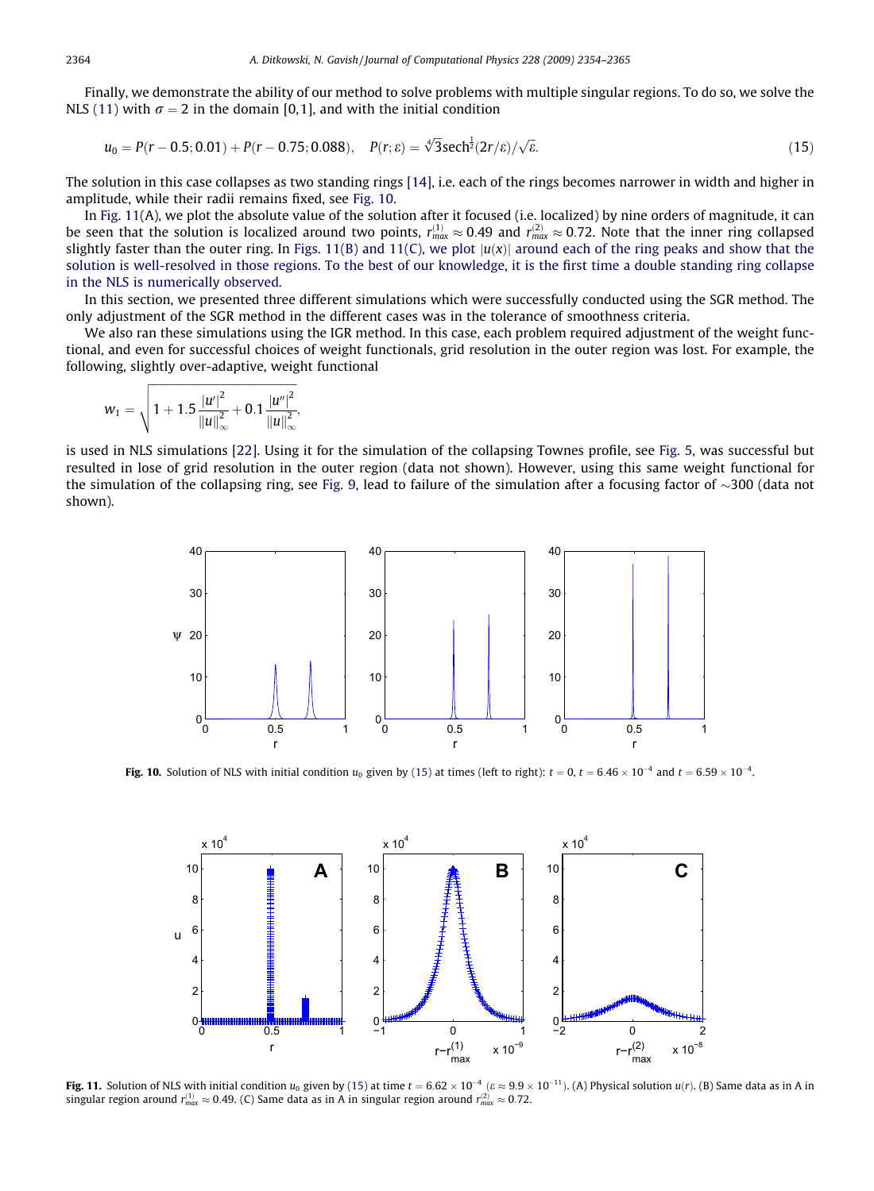Finally, we demonstrate the ability of our method to solve problems with multiple singular regions. To do so, we solve the NLS [\(11\)](#page-7-0) with  $\sigma = 2$  in the domain [0,1], and with the initial condition

$$
u_0 = P(r - 0.5; 0.01) + P(r - 0.75; 0.088), \quad P(r; \varepsilon) = \sqrt[4]{3} \text{sech}^{\frac{1}{2}}(2r/\varepsilon)/\sqrt{\varepsilon}.
$$
 (15)

The solution in this case collapses as two standing rings [\[14\]](#page-11-0), i.e. each of the rings becomes narrower in width and higher in amplitude, while their radii remains fixed, see Fig. 10.

In Fig. 11(A), we plot the absolute value of the solution after it focused (i.e. localized) by nine orders of magnitude, it can be seen that the solution is localized around two points,  $r_{max}^{(1)}\approx 0.49$  and  $r_{max}^{(2)}\approx 0.72$ . Note that the inner ring collapsed slightly faster than the outer ring. In Figs. 11(B) and 11(C), we plot  $|u(x)|$  around each of the ring peaks and show that the solution is well-resolved in those regions. To the best of our knowledge, it is the first time a double standing ring collapse in the NLS is numerically observed.

In this section, we presented three different simulations which were successfully conducted using the SGR method. The only adjustment of the SGR method in the different cases was in the tolerance of smoothness criteria.

We also ran these simulations using the IGR method. In this case, each problem required adjustment of the weight functional, and even for successful choices of weight functionals, grid resolution in the outer region was lost. For example, the following, slightly over-adaptive, weight functional

$$
w_1 = \sqrt{1 + 1.5 \frac{|u'|^2}{\|u\|_{\infty}^2} + 0.1 \frac{|u''|^2}{\|u\|_{\infty}^2}},
$$

is used in NLS simulations [\[22\]](#page-11-0). Using it for the simulation of the collapsing Townes profile, see [Fig. 5](#page-8-0), was successful but resulted in lose of grid resolution in the outer region (data not shown). However, using this same weight functional for the simulation of the collapsing ring, see [Fig. 9,](#page-9-0) lead to failure of the simulation after a focusing factor of  $\sim$ 300 (data not shown).



**Fig. 10.** Solution of NLS with initial condition  $u_0$  given by (15) at times (left to right):  $t = 0$ ,  $t = 6.46 \times 10^{-4}$  and  $t = 6.59 \times 10^{-4}$ .



Fig. 11. Solution of NLS with initial condition  $u_0$  given by (15) at time  $t = 6.62 \times 10^{-4}$  ( $\varepsilon \approx 9.9 \times 10^{-11}$ ). (A) Physical solution  $u(r)$ . (B) Same data as in A in singular region around  $r_{\rm max}^{(1)}\approx 0.49$ . (C) Same data as in A in singular region around  $r_{\rm max}^{(2)}\approx 0.72$ .